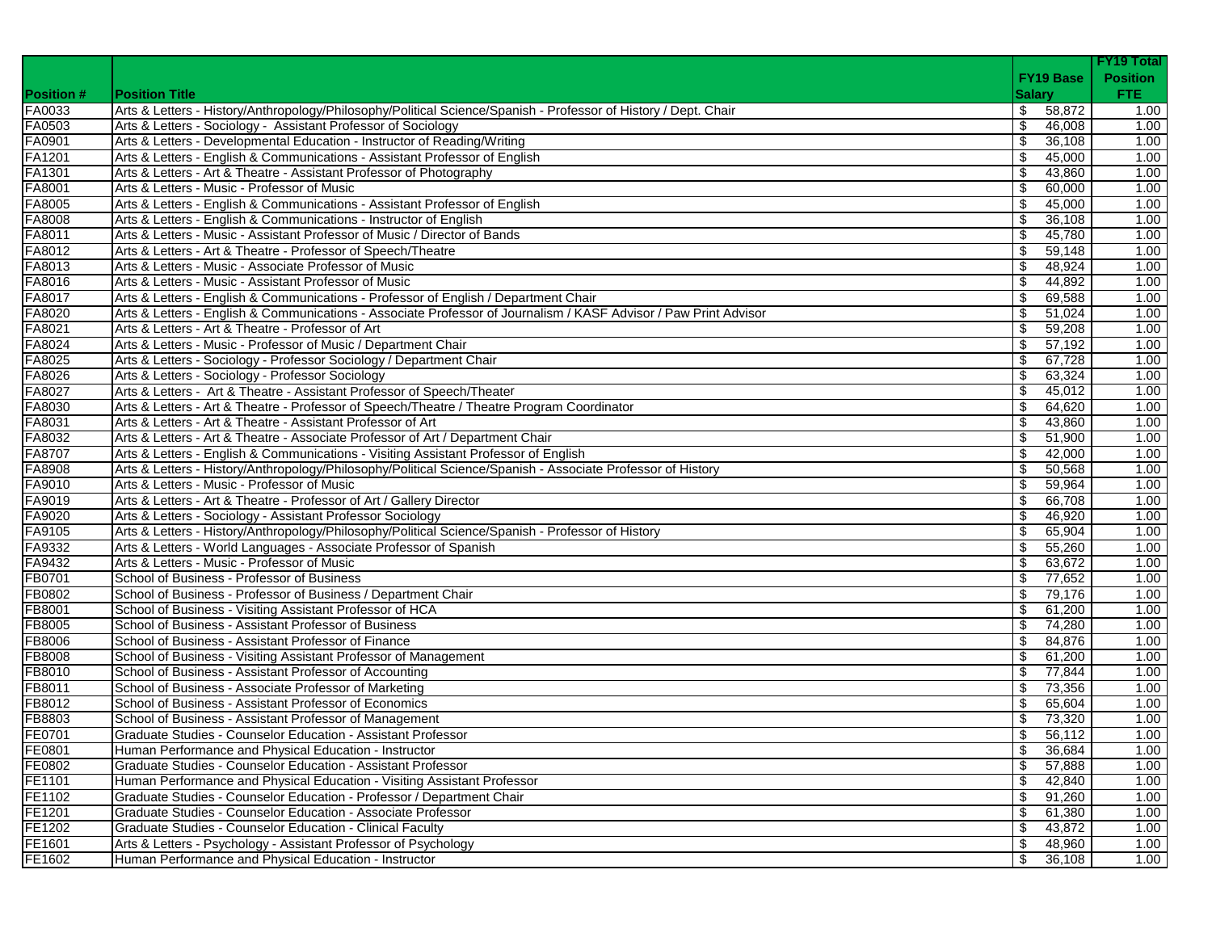|                  |                                                                                                                  |               |                  | <b>FY19 Total</b> |
|------------------|------------------------------------------------------------------------------------------------------------------|---------------|------------------|-------------------|
|                  |                                                                                                                  |               | <b>FY19 Base</b> | <b>Position</b>   |
| <b>Position#</b> | <b>Position Title</b>                                                                                            | <b>Salary</b> |                  | FTE:              |
| FA0033           | Arts & Letters - History/Anthropology/Philosophy/Political Science/Spanish - Professor of History / Dept. Chair  | \$            | 58,872           | 1.00              |
| FA0503           | Arts & Letters - Sociology - Assistant Professor of Sociology                                                    | \$            | 46,008           | 1.00              |
| FA0901           | Arts & Letters - Developmental Education - Instructor of Reading/Writing                                         | \$            | 36,108           | 1.00              |
| FA1201           | Arts & Letters - English & Communications - Assistant Professor of English                                       | \$            | 45,000           | 1.00              |
| FA1301           | Arts & Letters - Art & Theatre - Assistant Professor of Photography                                              | \$            | 43,860           | 1.00              |
| FA8001           | Arts & Letters - Music - Professor of Music                                                                      | \$            | 60,000           | 1.00              |
| FA8005           | Arts & Letters - English & Communications - Assistant Professor of English                                       | \$            | 45,000           | 1.00              |
| FA8008           | Arts & Letters - English & Communications - Instructor of English                                                | \$            | 36,108           | 1.00              |
| FA8011           | Arts & Letters - Music - Assistant Professor of Music / Director of Bands                                        | \$            | 45,780           | 1.00              |
| FA8012           | Arts & Letters - Art & Theatre - Professor of Speech/Theatre                                                     | \$            | 59,148           | 1.00              |
| FA8013           | Arts & Letters - Music - Associate Professor of Music                                                            | -\$           | 48,924           | 1.00              |
| FA8016           | Arts & Letters - Music - Assistant Professor of Music                                                            | \$            | 44,892           | 1.00              |
| FA8017           | Arts & Letters - English & Communications - Professor of English / Department Chair                              | \$            | 69,588           | 1.00              |
| FA8020           | Arts & Letters - English & Communications - Associate Professor of Journalism / KASF Advisor / Paw Print Advisor | \$            | 51,024           | 1.00              |
| FA8021           | Arts & Letters - Art & Theatre - Professor of Art                                                                | \$            | 59,208           | 1.00              |
| FA8024           | Arts & Letters - Music - Professor of Music / Department Chair                                                   | \$            | 57,192           | 1.00              |
| FA8025           | Arts & Letters - Sociology - Professor Sociology / Department Chair                                              | \$            | 67,728           | 1.00              |
| FA8026           | Arts & Letters - Sociology - Professor Sociology                                                                 | \$            | 63,324           | 1.00              |
| FA8027           | Arts & Letters - Art & Theatre - Assistant Professor of Speech/Theater                                           | \$            | 45,012           | 1.00              |
| FA8030           | Arts & Letters - Art & Theatre - Professor of Speech/Theatre / Theatre Program Coordinator                       | \$            | 64,620           | 1.00              |
| FA8031           | Arts & Letters - Art & Theatre - Assistant Professor of Art                                                      | \$            | 43,860           | 1.00              |
| FA8032           | Arts & Letters - Art & Theatre - Associate Professor of Art / Department Chair                                   | \$            | 51,900           | 1.00              |
| FA8707           | Arts & Letters - English & Communications - Visiting Assistant Professor of English                              | \$            | 42,000           | 1.00              |
| FA8908           | Arts & Letters - History/Anthropology/Philosophy/Political Science/Spanish - Associate Professor of History      | \$            | 50.568           | 1.00              |
| FA9010           | Arts & Letters - Music - Professor of Music                                                                      | \$            | 59,964           | 1.00              |
| FA9019           | Arts & Letters - Art & Theatre - Professor of Art / Gallery Director                                             | \$            | 66,708           | 1.00              |
| FA9020           | Arts & Letters - Sociology - Assistant Professor Sociology                                                       | \$            | 46,920           | 1.00              |
| FA9105           | Arts & Letters - History/Anthropology/Philosophy/Political Science/Spanish - Professor of History                | \$            | 65,904           | 1.00              |
| FA9332           | Arts & Letters - World Languages - Associate Professor of Spanish                                                | \$            | 55,260           | 1.00              |
| FA9432           | Arts & Letters - Music - Professor of Music                                                                      | \$            | 63,672           | 1.00              |
| FB0701           | School of Business - Professor of Business                                                                       | -\$           | 77,652           | 1.00              |
| FB0802           | School of Business - Professor of Business / Department Chair                                                    | \$            | 79,176           | 1.00              |
| FB8001           | School of Business - Visiting Assistant Professor of HCA                                                         | \$            | 61,200           | 1.00              |
| FB8005           | School of Business - Assistant Professor of Business                                                             | \$            | 74,280           | 1.00              |
| FB8006           | School of Business - Assistant Professor of Finance                                                              | \$            | 84,876           | 1.00              |
| FB8008           | School of Business - Visiting Assistant Professor of Management                                                  | \$            | 61,200           | 1.00              |
| FB8010           | School of Business - Assistant Professor of Accounting                                                           | \$            | 77,844           | 1.00              |
| FB8011           | School of Business - Associate Professor of Marketing                                                            | \$            | 73,356           | 1.00              |
| FB8012           | School of Business - Assistant Professor of Economics                                                            | \$            | 65,604           | 1.00              |
| FB8803           | School of Business - Assistant Professor of Management                                                           | \$            | 73,320           | 1.00              |
| FE0701           | Graduate Studies - Counselor Education - Assistant Professor                                                     | \$.           | 56,112           | 1.00              |
| FE0801           | Human Performance and Physical Education - Instructor                                                            | \$            | 36,684           | 1.00              |
| FE0802           | Graduate Studies - Counselor Education - Assistant Professor                                                     | \$            | 57,888           | 1.00              |
| FE1101           | Human Performance and Physical Education - Visiting Assistant Professor                                          | \$            | 42,840           | 1.00              |
| FE1102           | Graduate Studies - Counselor Education - Professor / Department Chair                                            | \$            | 91,260           | 1.00              |
| FE1201           | Graduate Studies - Counselor Education - Associate Professor                                                     | \$            | 61,380           | 1.00              |
| FE1202           | Graduate Studies - Counselor Education - Clinical Faculty                                                        | \$            | 43,872           | 1.00              |
| FE1601           | Arts & Letters - Psychology - Assistant Professor of Psychology                                                  | \$            | 48,960           | 1.00              |
| FE1602           | Human Performance and Physical Education - Instructor                                                            | \$            | 36,108           | 1.00              |